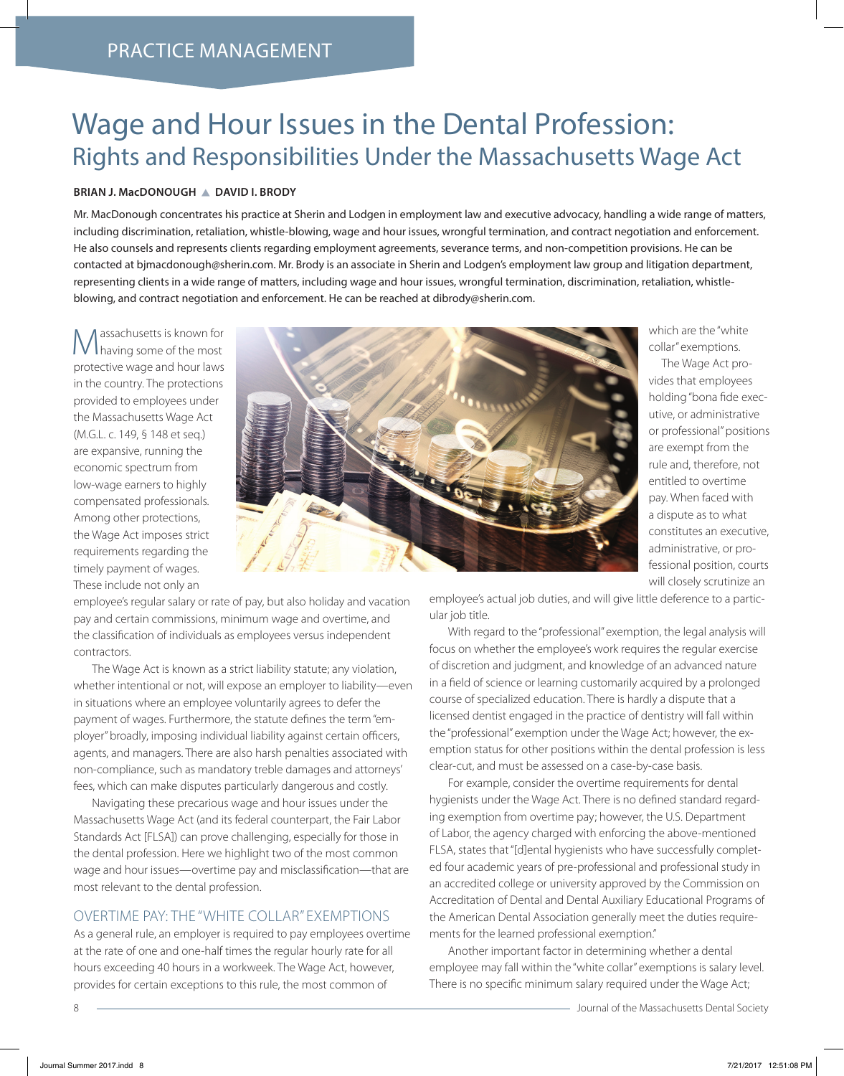# Wage and Hour Issues in the Dental Profession: Rights and Responsibilities Under the Massachusetts Wage Act

#### **BRIAN J. MacDONOUGH DAVID I. BRODY**

Mr. MacDonough concentrates his practice at Sherin and Lodgen in employment law and executive advocacy, handling a wide range of matters, including discrimination, retaliation, whistle-blowing, wage and hour issues, wrongful termination, and contract negotiation and enforcement. He also counsels and represents clients regarding employment agreements, severance terms, and non-competition provisions. He can be contacted at bjmacdonough@sherin.com. Mr. Brody is an associate in Sherin and Lodgen's employment law group and litigation department, representing clients in a wide range of matters, including wage and hour issues, wrongful termination, discrimination, retaliation, whistleblowing, and contract negotiation and enforcement. He can be reached at dibrody@sherin.com.

Massachusetts is known for having some of the most protective wage and hour laws in the country. The protections provided to employees under the Massachusetts Wage Act (M.G.L. c. 149, § 148 et seq.) are expansive, running the economic spectrum from low-wage earners to highly compensated professionals. Among other protections, the Wage Act imposes strict requirements regarding the timely payment of wages. These include not only an



which are the "white collar" exemptions.

The Wage Act provides that employees holding "bona fide executive, or administrative or professional" positions are exempt from the rule and, therefore, not entitled to overtime pay. When faced with a dispute as to what constitutes an executive, administrative, or professional position, courts will closely scrutinize an

employee's regular salary or rate of pay, but also holiday and vacation pay and certain commissions, minimum wage and overtime, and the classification of individuals as employees versus independent contractors.

The Wage Act is known as a strict liability statute; any violation, whether intentional or not, will expose an employer to liability—even in situations where an employee voluntarily agrees to defer the payment of wages. Furthermore, the statute defines the term "employer" broadly, imposing individual liability against certain officers, agents, and managers. There are also harsh penalties associated with non-compliance, such as mandatory treble damages and attorneys' fees, which can make disputes particularly dangerous and costly.

Navigating these precarious wage and hour issues under the Massachusetts Wage Act (and its federal counterpart, the Fair Labor Standards Act [FLSA]) can prove challenging, especially for those in the dental profession. Here we highlight two of the most common wage and hour issues—overtime pay and misclassification—that are most relevant to the dental profession.

#### OVERTIME PAY: THE "WHITE COLLAR" EXEMPTIONS

As a general rule, an employer is required to pay employees overtime at the rate of one and one-half times the regular hourly rate for all hours exceeding 40 hours in a workweek. The Wage Act, however, provides for certain exceptions to this rule, the most common of

employee's actual job duties, and will give little deference to a particular job title.

With regard to the "professional" exemption, the legal analysis will focus on whether the employee's work requires the regular exercise of discretion and judgment, and knowledge of an advanced nature in a field of science or learning customarily acquired by a prolonged course of specialized education. There is hardly a dispute that a licensed dentist engaged in the practice of dentistry will fall within the "professional" exemption under the Wage Act; however, the exemption status for other positions within the dental profession is less clear-cut, and must be assessed on a case-by-case basis.

For example, consider the overtime requirements for dental hygienists under the Wage Act. There is no defined standard regarding exemption from overtime pay; however, the U.S. Department of Labor, the agency charged with enforcing the above-mentioned FLSA, states that "[d]ental hygienists who have successfully completed four academic years of pre-professional and professional study in an accredited college or university approved by the Commission on Accreditation of Dental and Dental Auxiliary Educational Programs of the American Dental Association generally meet the duties requirements for the learned professional exemption."

Another important factor in determining whether a dental employee may fall within the "white collar" exemptions is salary level. There is no specific minimum salary required under the Wage Act;